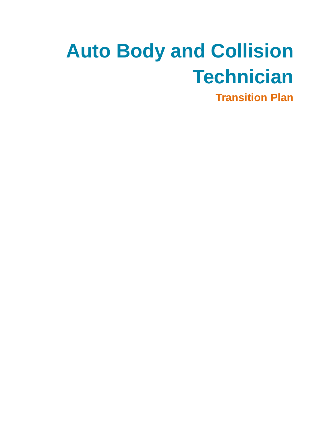# **Auto Body and Collision Technician**

**Transition Plan**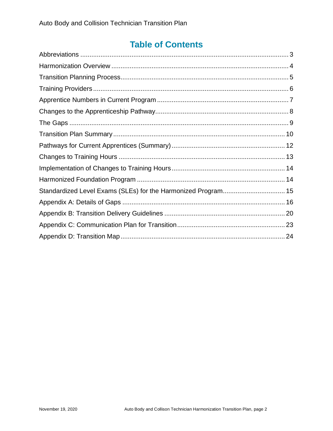# **Table of Contents**

| Standardized Level Exams (SLEs) for the Harmonized Program 15 |  |
|---------------------------------------------------------------|--|
|                                                               |  |
|                                                               |  |
|                                                               |  |
|                                                               |  |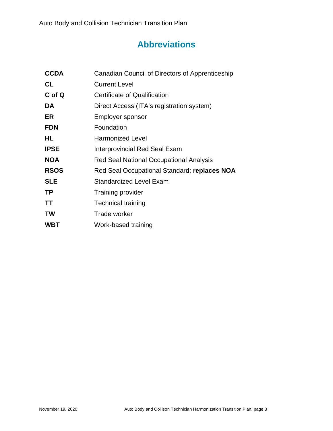# **Abbreviations**

<span id="page-2-0"></span>

| <b>CCDA</b> | Canadian Council of Directors of Apprenticeship |
|-------------|-------------------------------------------------|
| <b>CL</b>   | <b>Current Level</b>                            |
| C of Q      | Certificate of Qualification                    |
| DA          | Direct Access (ITA's registration system)       |
| ER          | Employer sponsor                                |
| <b>FDN</b>  | Foundation                                      |
| HL          | <b>Harmonized Level</b>                         |
| <b>IPSE</b> | <b>Interprovincial Red Seal Exam</b>            |
| <b>NOA</b>  | Red Seal National Occupational Analysis         |
| <b>RSOS</b> | Red Seal Occupational Standard; replaces NOA    |
| <b>SLE</b>  | <b>Standardized Level Exam</b>                  |
| <b>TP</b>   | Training provider                               |
| <b>TT</b>   | <b>Technical training</b>                       |
| <b>TW</b>   | Trade worker                                    |
| <b>WBT</b>  | Work-based training                             |
|             |                                                 |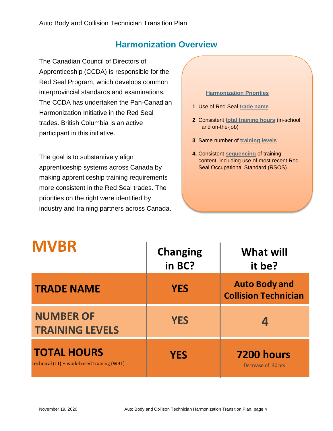### **Harmonization Overview**

<span id="page-3-0"></span>The Canadian Council of Directors of Apprenticeship (CCDA) is responsible for the Red Seal Program, which develops common interprovincial standards and examinations. The CCDA has undertaken the Pan-Canadian Harmonization Initiative in the Red Seal trades. British Columbia is an active participant in this initiative.

The goal is to substantively align apprenticeship systems across Canada by making apprenticeship training requirements more consistent in the Red Seal trades. The priorities on the right were identified by industry and training partners across Canada.

#### **Harmonization Priorities**

- **1**. Use of Red Seal **trade name**
- **2**. Consistent **total training hours** (in-school and on-the-job)
- **3**. Same number of **training levels**
- **4.** Consistent **sequencing** of training content, including use of most recent Red Seal Occupational Standard (RSOS).

| <b>MVBR</b>                                                      | <b>Changing</b><br>in BC? | What will<br>it be?                                 |  |
|------------------------------------------------------------------|---------------------------|-----------------------------------------------------|--|
| <b>TRADE NAME</b>                                                | <b>YES</b>                | <b>Auto Body and</b><br><b>Collision Technician</b> |  |
| <b>NUMBER OF</b><br><b>TRAINING LEVELS</b>                       | <b>YES</b>                |                                                     |  |
| <b>TOTAL HOURS</b><br>Technical (TT) + work-based training (WBT) | <b>YES</b>                | <b>7200 hours</b><br>Decrease of 30 hrs             |  |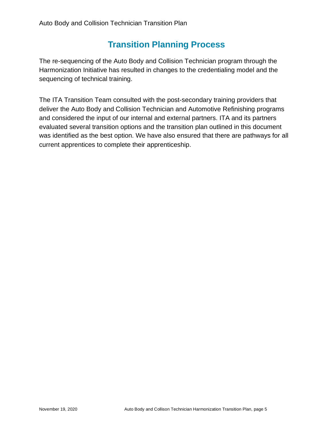### **Transition Planning Process**

<span id="page-4-0"></span>The re-sequencing of the Auto Body and Collision Technician program through the Harmonization Initiative has resulted in changes to the credentialing model and the sequencing of technical training.

The ITA Transition Team consulted with the post-secondary training providers that deliver the Auto Body and Collision Technician and Automotive Refinishing programs and considered the input of our internal and external partners. ITA and its partners evaluated several transition options and the transition plan outlined in this document was identified as the best option. We have also ensured that there are pathways for all current apprentices to complete their apprenticeship.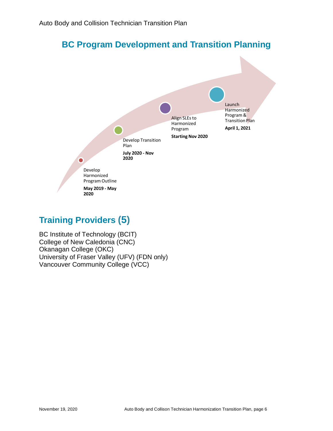### **BC Program Development and Transition Planning**



# <span id="page-5-0"></span>**Training Providers (5)**

BC Institute of Technology (BCIT) College of New Caledonia (CNC) Okanagan College (OKC) University of Fraser Valley (UFV) (FDN only) Vancouver Community College (VCC)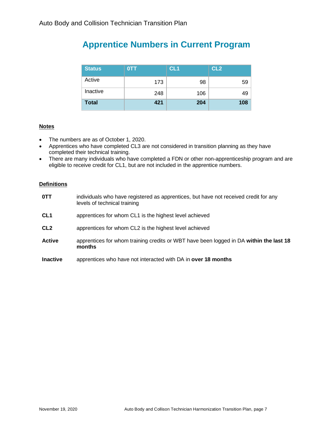# <span id="page-6-0"></span>**Apprentice Numbers in Current Program**

| <b>Status</b> | <b>OTT</b> | CL <sub>1</sub> | CL <sub>2</sub> |
|---------------|------------|-----------------|-----------------|
| Active        | 173        | 98              | 59              |
| Inactive      | 248        | 106             | 49              |
| <b>Total</b>  | 421        | 204             | 108             |

#### **Notes**

- The numbers are as of October 1, 2020.
- Apprentices who have completed CL3 are not considered in transition planning as they have completed their technical training.
- There are many individuals who have completed a FDN or other non-apprenticeship program and are eligible to receive credit for CL1, but are not included in the apprentice numbers.

#### **Definitions**

| 0TT             | individuals who have registered as apprentices, but have not received credit for any<br>levels of technical training |
|-----------------|----------------------------------------------------------------------------------------------------------------------|
| CL <sub>1</sub> | apprentices for whom CL1 is the highest level achieved                                                               |
| CL <sub>2</sub> | apprentices for whom CL2 is the highest level achieved                                                               |
| <b>Active</b>   | apprentices for whom training credits or WBT have been logged in DA within the last 18<br>months                     |
|                 | .                                                                                                                    |

**Inactive** apprentices who have not interacted with DA in **over 18 months**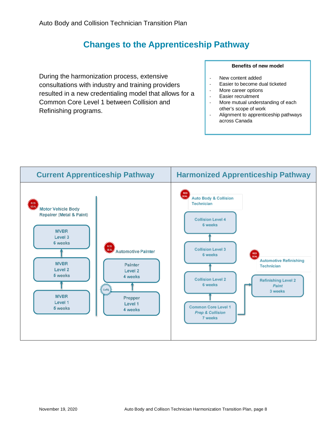# **Changes to the Apprenticeship Pathway**

<span id="page-7-0"></span>During the harmonization process, extensive consultations with industry and training providers resulted in a new credentialing model that allows for a Common Core Level 1 between Collision and Refinishing programs.

#### **Benefits of new model**

- New content added
- Easier to become dual ticketed
- More career options
- Easier recruitment
- More mutual understanding of each other's scope of work
- Alignment to apprenticeship pathways across Canada

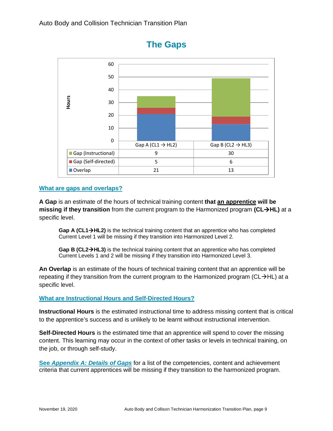<span id="page-8-0"></span>

### **The Gaps**

#### **What are gaps and overlaps?**

**A Gap** is an estimate of the hours of technical training content **that an apprentice will be missing if they transition** from the current program to the Harmonized program **(CLHL)** at a specific level.

Gap A (CL1→HL2) is the technical training content that an apprentice who has completed Current Level 1 will be missing if they transition into Harmonized Level 2.

**Gap B (CL2HL3)** is the technical training content that an apprentice who has completed Current Levels 1 and 2 will be missing if they transition into Harmonized Level 3.

**An Overlap** is an estimate of the hours of technical training content that an apprentice will be repeating if they transition from the current program to the Harmonized program ( $CL \rightarrow HL$ ) at a specific level.

**What are Instructional Hours and Self-Directed Hours?**

**Instructional Hours** is the estimated instructional time to address missing content that is critical to the apprentice's success and is unlikely to be learnt without instructional intervention.

**Self-Directed Hours** is the estimated time that an apprentice will spend to cover the missing content. This learning may occur in the context of other tasks or levels in technical training, on the job, or through self-study.

**See** *Appendix A: Details of Gaps* for a list of the competencies, content and achievement criteria that current apprentices will be missing if they transition to the harmonized program.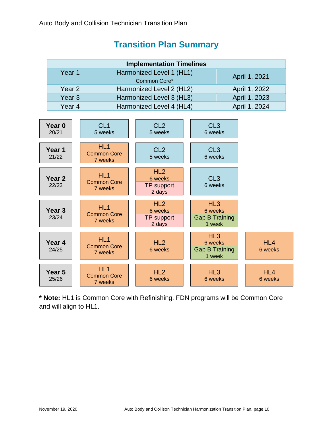### **Transition Plan Summary**

<span id="page-9-0"></span>

| <b>Implementation Timelines</b> |                          |               |  |
|---------------------------------|--------------------------|---------------|--|
| Year 1                          | Harmonized Level 1 (HL1) | April 1, 2021 |  |
|                                 | Common Core*             |               |  |
| Year 2                          | Harmonized Level 2 (HL2) | April 1, 2022 |  |
| Year <sub>3</sub>               | Harmonized Level 3 (HL3) | April 1, 2023 |  |
| Year 4                          | Harmonized Level 4 (HL4) | April 1, 2024 |  |



**\* Note:** HL1 is Common Core with Refinishing. FDN programs will be Common Core and will align to HL1.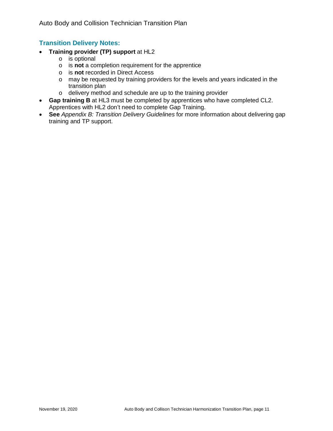### **Transition Delivery Notes:**

- **Training provider (TP) support** at HL2
	- o is optional
	- o is **not** a completion requirement for the apprentice
	- o is **not** recorded in Direct Access
	- o may be requested by training providers for the levels and years indicated in the transition plan
	- o delivery method and schedule are up to the training provider
- **Gap training B** at HL3 must be completed by apprentices who have completed CL2. Apprentices with HL2 don't need to complete Gap Training.
- **See** *Appendix B: Transition Delivery Guidelines* for more information about delivering gap training and TP support.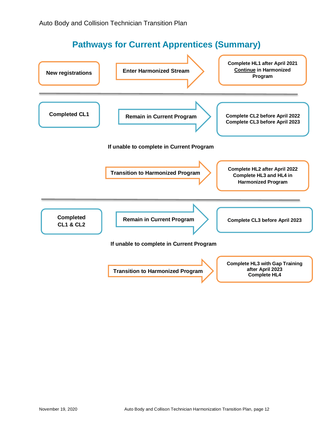# **Pathways for Current Apprentices (Summary)**

<span id="page-11-0"></span>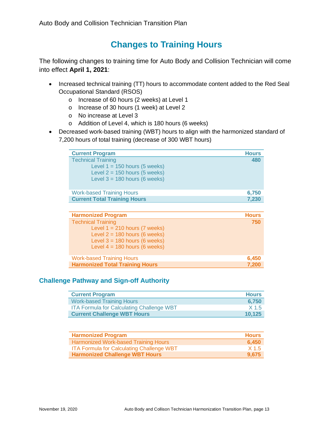### **Changes to Training Hours**

<span id="page-12-0"></span>The following changes to training time for Auto Body and Collision Technician will come into effect **April 1, 2021**:

- Increased technical training (TT) hours to accommodate content added to the Red Seal Occupational Standard (RSOS)
	- o Increase of 60 hours (2 weeks) at Level 1
	- o Increase of 30 hours (1 week) at Level 2
	- o No increase at Level 3
	- o Addition of Level 4, which is 180 hours (6 weeks)
- Decreased work-based training (WBT) hours to align with the harmonized standard of 7,200 hours of total training (decrease of 300 WBT hours)

| <b>Current Program</b>                                                                                                             | <b>Hours</b> |
|------------------------------------------------------------------------------------------------------------------------------------|--------------|
| <b>Technical Training</b><br>Level $1 = 150$ hours (5 weeks)<br>Level $2 = 150$ hours (5 weeks)<br>Level $3 = 180$ hours (6 weeks) | 480          |
| <b>Work-based Training Hours</b>                                                                                                   | 6,750        |
| <b>Current Total Training Hours</b>                                                                                                | 7,230        |

| <b>Harmonized Program</b>              | <b>Hours</b> |
|----------------------------------------|--------------|
| <b>Technical Training</b>              | 750          |
| Level $1 = 210$ hours (7 weeks)        |              |
| Level $2 = 180$ hours (6 weeks)        |              |
| Level $3 = 180$ hours (6 weeks)        |              |
| Level $4 = 180$ hours (6 weeks)        |              |
|                                        |              |
| <b>Work-based Training Hours</b>       | 6,450        |
| <b>Harmonized Total Training Hours</b> | 7,200        |

### **Challenge Pathway and Sign-off Authority**

| <b>Current Program</b>                           | <b>Hours</b>     |
|--------------------------------------------------|------------------|
| <b>Work-based Training Hours</b>                 | 6,750            |
| <b>ITA Formula for Calculating Challenge WBT</b> | X <sub>1.5</sub> |
| <b>Current Challenge WBT Hours</b>               | 10.125           |

| <b>Harmonized Program</b>                        | <b>Hours</b> |
|--------------------------------------------------|--------------|
| Harmonized Work-based Training Hours             | 6,450        |
| <b>ITA Formula for Calculating Challenge WBT</b> | X 1.5        |
| <b>Harmonized Challenge WBT Hours</b>            | 9.675        |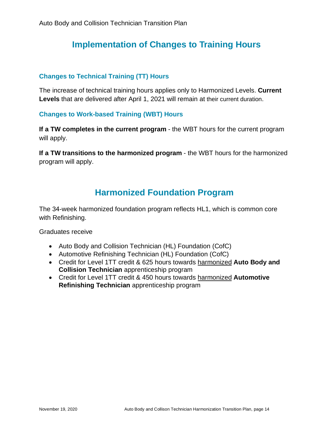### <span id="page-13-0"></span>**Implementation of Changes to Training Hours**

### **Changes to Technical Training (TT) Hours**

The increase of technical training hours applies only to Harmonized Levels. **Current Levels** that are delivered after April 1, 2021 will remain at their current duration.

### **Changes to Work-based Training (WBT) Hours**

**If a TW completes in the current program** - the WBT hours for the current program will apply.

**If a TW transitions to the harmonized program** - the WBT hours for the harmonized program will apply.

### **Harmonized Foundation Program**

<span id="page-13-1"></span>The 34-week harmonized foundation program reflects HL1, which is common core with Refinishing.

Graduates receive

- Auto Body and Collision Technician (HL) Foundation (CofC)
- Automotive Refinishing Technician (HL) Foundation (CofC)
- Credit for Level 1TT credit & 625 hours towards harmonized **Auto Body and Collision Technician** apprenticeship program
- Credit for Level 1TT credit & 450 hours towards harmonized **Automotive Refinishing Technician** apprenticeship program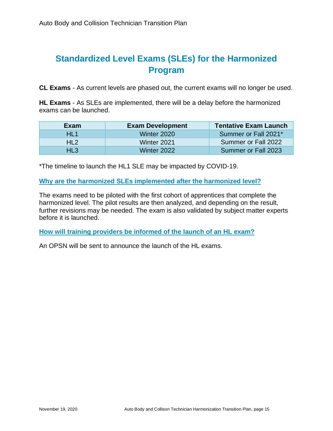# <span id="page-14-0"></span>**Standardized Level Exams (SLEs) for the Harmonized Program**

**CL Exams** - As current levels are phased out, the current exams will no longer be used.

**HL Exams** - As SLEs are implemented, there will be a delay before the harmonized exams can be launched.

| Exam            | <b>Exam Development</b> | <b>Tentative Exam Launch</b> |
|-----------------|-------------------------|------------------------------|
| $HI$ 1          | Winter 2020             | Summer or Fall 2021*         |
| HL <sub>2</sub> | Winter 2021             | Summer or Fall 2022          |
| HL3             | Winter 2022             | Summer or Fall 2023          |

\*The timeline to launch the HL1 SLE may be impacted by COVID-19.

**Why are the harmonized SLEs implemented after the harmonized level?**

The exams need to be piloted with the first cohort of apprentices that complete the harmonized level. The pilot results are then analyzed, and depending on the result, further revisions may be needed. The exam is also validated by subject matter experts before it is launched.

**How will training providers be informed of the launch of an HL exam?**

An OPSN will be sent to announce the launch of the HL exams.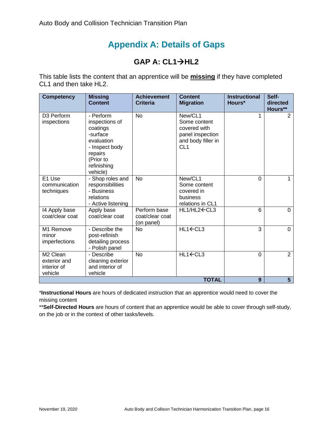# **Appendix A: Details of Gaps**

### **GAP A: CL1→HL2**

<span id="page-15-0"></span>This table lists the content that an apprentice will be **missing** if they have completed CL1 and then take HL2.

| <b>Competency</b>                                              | <b>Missing</b><br><b>Content</b>                                                                                                       | <b>Achievement</b><br><b>Criteria</b>         | <b>Content</b><br><b>Migration</b>                                                                   | <b>Instructional</b><br>Hours* | Self-<br>directed<br>Hours** |
|----------------------------------------------------------------|----------------------------------------------------------------------------------------------------------------------------------------|-----------------------------------------------|------------------------------------------------------------------------------------------------------|--------------------------------|------------------------------|
| D3 Perform<br>inspections                                      | - Perform<br>inspections of<br>coatings<br>-surface<br>evaluation<br>- Inspect body<br>repairs<br>(Prior to<br>refinishing<br>vehicle) | <b>No</b>                                     | New/CL1<br>Some content<br>covered with<br>panel inspection<br>and body filler in<br>CL <sub>1</sub> | 1                              | $\overline{2}$               |
| E1 Use<br>communication<br>techniques                          | - Shop roles and<br>responsibilities<br>- Business<br>relations<br>- Active listening                                                  | <b>No</b>                                     | New/CL1<br>Some content<br>covered in<br>business<br>relations in CL1                                | 0                              | 1                            |
| 14 Apply base<br>coat/clear coat                               | Apply base<br>coat/clear coat                                                                                                          | Perform base<br>coat/clear coat<br>(on panel) | HL1/HL2 CL3                                                                                          | 6                              | $\Omega$                     |
| M1 Remove<br>minor<br>imperfections                            | - Describe the<br>post-refinish<br>detailing process<br>- Polish panel                                                                 | <b>No</b>                                     | HL1←CL3                                                                                              | 3                              | 0                            |
| M <sub>2</sub> Clean<br>exterior and<br>interior of<br>vehicle | - Describe<br>cleaning exterior<br>and interior of<br>vehicle                                                                          | No                                            | HL1←CL3                                                                                              | 0                              | $\overline{2}$               |
|                                                                |                                                                                                                                        |                                               | <b>TOTAL</b>                                                                                         | 9                              | $5\phantom{1}$               |

\***Instructional Hours** are hours of dedicated instruction that an apprentice would need to cover the missing content

\*\***Self-Directed Hours** are hours of content that an apprentice would be able to cover through self-study, on the job or in the context of other tasks/levels.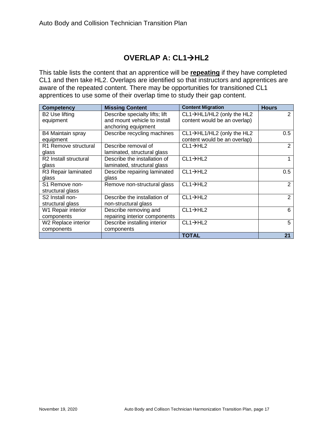### **OVERLAP A: CL1→HL2**

This table lists the content that an apprentice will be **repeating** if they have completed CL1 and then take HL2. Overlaps are identified so that instructors and apprentices are aware of the repeated content. There may be opportunities for transitioned CL1 apprentices to use some of their overlap time to study their gap content.

| <b>Competency</b>                 | <b>Missing Content</b>         | <b>Content Migration</b>     | <b>Hours</b> |
|-----------------------------------|--------------------------------|------------------------------|--------------|
| <b>B2 Use lifting</b>             | Describe specialty lifts; lift | CL1→HL1/HL2 (only the HL2    | 2            |
| equipment                         | and mount vehicle to install   | content would be an overlap) |              |
|                                   | anchoring equipment            |                              |              |
| B4 Maintain spray                 | Describe recycling machines    | CL1→HL1/HL2 (only the HL2    | 0.5          |
| equipment                         |                                | content would be an overlap) |              |
| R1 Remove structural              | Describe removal of            | $CL1 \rightarrow HL2$        | 2            |
| glass                             | laminated, structural glass    |                              |              |
| R <sub>2</sub> Install structural | Describe the installation of   | $CL1 \rightarrow HL2$        |              |
| glass                             | laminated, structural glass    |                              |              |
| R3 Repair laminated               | Describe repairing laminated   | $CL1 \rightarrow HL2$        | 0.5          |
| glass                             | glass                          |                              |              |
| S1 Remove non-                    | Remove non-structural glass    | $CL1 \rightarrow HL2$        | 2            |
| structural glass                  |                                |                              |              |
| S2 Install non-                   | Describe the installation of   | $CL1 \rightarrow HL2$        | 2            |
| structural glass                  | non-structural glass           |                              |              |
| W1 Repair interior                | Describe removing and          | $CL1 \rightarrow HL2$        | 6            |
| components                        | repairing interior components  |                              |              |
| W2 Replace interior               | Describe installing interior   | $CL1 \rightarrow HL2$        | 5            |
| components                        | components                     |                              |              |
|                                   |                                | TOTAL                        | 21           |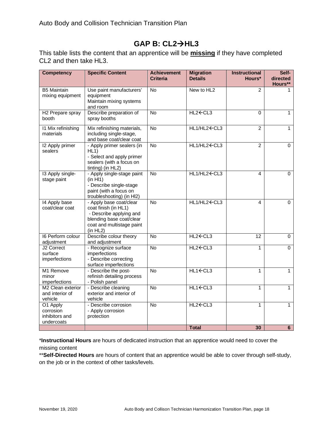### **GAP B: CL2HL3**

This table lists the content that an apprentice will be **missing** if they have completed CL2 and then take HL3.

| <b>Competency</b>                                     | <b>Specific Content</b>                                                                                                                         | <b>Achievement</b><br><b>Criteria</b> | <b>Migration</b><br><b>Details</b>                                                  | <b>Instructional</b><br>Hours* | Self-<br>directed<br>Hours** |
|-------------------------------------------------------|-------------------------------------------------------------------------------------------------------------------------------------------------|---------------------------------------|-------------------------------------------------------------------------------------|--------------------------------|------------------------------|
| <b>B5 Maintain</b><br>mixing equipment                | Use paint manufacturers'<br>equipment<br>Maintain mixing systems<br>and room                                                                    | No                                    | New to HL2                                                                          | $\overline{2}$                 |                              |
| H <sub>2</sub> Prepare spray<br>booth                 | Describe preparation of<br>spray booths                                                                                                         | No                                    | HL2 <del>C</del> CL3                                                                | $\mathbf 0$                    | 1                            |
| 11 Mix refinishing<br>materials                       | Mix refinishing materials,<br>including single-stage,<br>and base coat/clear coat                                                               | <b>No</b>                             | HL1/HL2 ← CL3                                                                       | $\overline{2}$                 | 1                            |
| 12 Apply primer<br>sealers                            | - Apply primer sealers (in<br>HL1<br>- Select and apply primer<br>sealers (with a focus on<br>tinting) (in HL2)                                 | <b>No</b>                             | HL1/HL2←CL3                                                                         | $\overline{2}$                 | $\Omega$                     |
| 13 Apply single-<br>stage paint                       | - Apply single-stage paint<br>(in H11)<br>- Describe single-stage<br>paint (with a focus on<br>troubleshooting) (in HI2)                        | $\overline{N}$                        | HL1/HL2 ← CL3                                                                       | 4                              | 0                            |
| 14 Apply base<br>coat/clear coat                      | - Apply base coat/clear<br>coat finish (in HL1)<br>- Describe applying and<br>blending base coat/clear<br>coat and multistage paint<br>(in HL2) | No                                    | HL1/HL2 ← CL3                                                                       | 4                              | 0                            |
| 16 Perform colour<br>adjustment                       | Describe colour theory<br>and adjustment                                                                                                        | $\overline{N}$                        | HL2 <del>C</del> CL3                                                                | $\overline{12}$                | 0                            |
| J2 Correct<br>surface<br>imperfections                | - Recognize surface<br>imperfections<br>- Describe correcting<br>surface imperfections                                                          | <b>No</b>                             | HL2 <cl3< td=""><td><math>\mathbf{1}</math></td><td><math>\Omega</math></td></cl3<> | $\mathbf{1}$                   | $\Omega$                     |
| M1 Remove<br>minor<br>imperfections                   | - Describe the post-<br>refinish detailing process<br>- Polish panel                                                                            | $\overline{N}$                        | $HL1-CL3$                                                                           | $\mathbf{1}$                   | 1                            |
| M2 Clean exterior<br>and interior of<br>vehicle       | - Describe cleaning<br>exterior and interior of<br>vehicle                                                                                      | <b>No</b>                             | $HL1 \leftarrow CL3$                                                                | $\mathbf{1}$                   | 1                            |
| O1 Apply<br>corrosion<br>inhibitors and<br>undercoats | - Describe corrosion<br>- Apply corrosion<br>protection                                                                                         | $\overline{N}$                        | HL2 <del>C</del> CL3                                                                | $\mathbf{1}$                   | 1                            |
|                                                       |                                                                                                                                                 |                                       | <b>Total</b>                                                                        | 30                             | 6                            |

\***Instructional Hours** are hours of dedicated instruction that an apprentice would need to cover the missing content

\*\***Self-Directed Hours** are hours of content that an apprentice would be able to cover through self-study, on the job or in the context of other tasks/levels.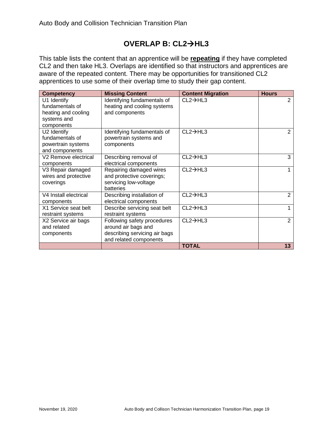### **OVERLAP B: CL2HL3**

This table lists the content that an apprentice will be **repeating** if they have completed CL2 and then take HL3. Overlaps are identified so that instructors and apprentices are aware of the repeated content. There may be opportunities for transitioned CL2 apprentices to use some of their overlap time to study their gap content.

| <b>Competency</b>                                                                  | <b>Missing Content</b>                                                                                        | <b>Content Migration</b> | <b>Hours</b>   |
|------------------------------------------------------------------------------------|---------------------------------------------------------------------------------------------------------------|--------------------------|----------------|
| U1 Identify<br>fundamentals of<br>heating and cooling<br>systems and<br>components | Identifying fundamentals of<br>heating and cooling systems<br>and components                                  | $CL2 \rightarrow HL3$    | $\overline{2}$ |
| U2 Identify<br>fundamentals of<br>powertrain systems<br>and components             | Identifying fundamentals of<br>powertrain systems and<br>components                                           | $CL2 \rightarrow HL3$    | 2              |
| V2 Remove electrical<br>components                                                 | Describing removal of<br>electrical components                                                                | $CL2 \rightarrow HL3$    | 3              |
| V3 Repair damaged<br>wires and protective<br>coverings                             | Repairing damaged wires<br>and protective coverings;<br>servicing low-voltage<br>batteries                    | $CL2 \rightarrow HL3$    |                |
| V4 Install electrical<br>components                                                | Describing installation of<br>electrical components                                                           | $CL2 \rightarrow HL3$    | $\overline{2}$ |
| X1 Service seat belt<br>restraint systems                                          | Describe servicing seat belt<br>restraint systems                                                             | $CL2 \rightarrow HL3$    |                |
| X2 Service air bags<br>and related<br>components                                   | Following safety procedures<br>around air bags and<br>describing servicing air bags<br>and related components | $CL2 \rightarrow HL3$    | $\overline{2}$ |
|                                                                                    |                                                                                                               | <b>TOTAL</b>             | 13             |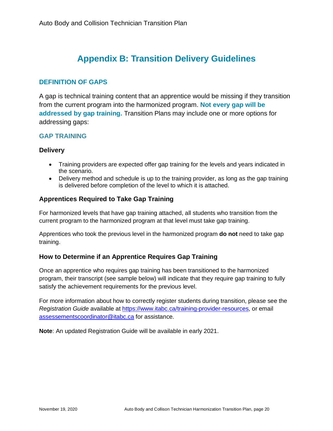# **Appendix B: Transition Delivery Guidelines**

### <span id="page-19-0"></span>**DEFINITION OF GAPS**

A gap is technical training content that an apprentice would be missing if they transition from the current program into the harmonized program. **Not every gap will be addressed by gap training.** Transition Plans may include one or more options for addressing gaps:

### **GAP TRAINING**

#### **Delivery**

- Training providers are expected offer gap training for the levels and years indicated in the scenario.
- Delivery method and schedule is up to the training provider, as long as the gap training is delivered before completion of the level to which it is attached.

### **Apprentices Required to Take Gap Training**

For harmonized levels that have gap training attached, all students who transition from the current program to the harmonized program at that level must take gap training.

Apprentices who took the previous level in the harmonized program **do not** need to take gap training.

### **How to Determine if an Apprentice Requires Gap Training**

Once an apprentice who requires gap training has been transitioned to the harmonized program, their transcript (see sample below) will indicate that they require gap training to fully satisfy the achievement requirements for the previous level.

For more information about how to correctly register students during transition, please see the *Registration Guide* available at [https://www.itabc.ca/training-provider-resources,](https://www.itabc.ca/training-provider-resources) or email [assessementscoordinator@itabc.ca](mailto:assessementscoordinator@itabc.ca) for assistance.

**Note**: An updated Registration Guide will be available in early 2021.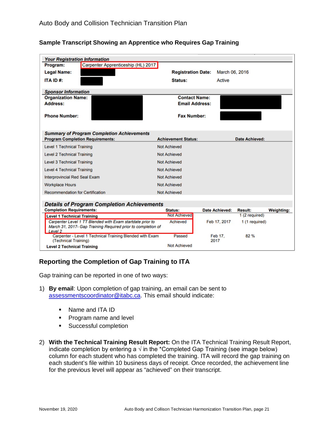| <b>Your Registration Information</b>                                                                                                            |                            |                        |                       |                   |
|-------------------------------------------------------------------------------------------------------------------------------------------------|----------------------------|------------------------|-----------------------|-------------------|
| Carpenter Apprenticeship (HL) 2017<br>Program:                                                                                                  |                            |                        |                       |                   |
| <b>Legal Name:</b>                                                                                                                              | <b>Registration Date:</b>  | March 06, 2016         |                       |                   |
| ITA ID#:                                                                                                                                        | Status:                    | Active                 |                       |                   |
| <b>Sponsor Information</b>                                                                                                                      |                            |                        |                       |                   |
| <b>Organization Name:</b>                                                                                                                       | <b>Contact Name:</b>       |                        |                       |                   |
| <b>Address:</b>                                                                                                                                 | <b>Email Address:</b>      |                        |                       |                   |
| <b>Phone Number:</b>                                                                                                                            | <b>Fax Number:</b>         |                        |                       |                   |
| <b>Summary of Program Completion Achievements</b><br><b>Program Completion Requirements:</b>                                                    | <b>Achievement Status:</b> |                        | <b>Date Achieved:</b> |                   |
|                                                                                                                                                 |                            |                        |                       |                   |
| <b>Level 1 Technical Training</b>                                                                                                               | <b>Not Achieved</b>        |                        |                       |                   |
| <b>Level 2 Technical Training</b>                                                                                                               | <b>Not Achieved</b>        |                        |                       |                   |
| <b>Level 3 Technical Training</b>                                                                                                               | <b>Not Achieved</b>        |                        |                       |                   |
| <b>Level 4 Technical Training</b>                                                                                                               | <b>Not Achieved</b>        |                        |                       |                   |
| <b>Interprovincial Red Seal Exam</b>                                                                                                            | <b>Not Achieved</b>        |                        |                       |                   |
| <b>Workplace Hours</b>                                                                                                                          | <b>Not Achieved</b>        |                        |                       |                   |
| <b>Recommendation for Certification</b>                                                                                                         | <b>Not Achieved</b>        |                        |                       |                   |
| <b>Details of Program Completion Achievements</b>                                                                                               |                            |                        |                       |                   |
| <b>Completion Requirements:</b>                                                                                                                 | <b>Status:</b>             | <b>Date Achieved:</b>  | <b>Result:</b>        | <b>Weighting:</b> |
| <b>Level 1 Technical Training</b>                                                                                                               | <b>Not Achieved</b>        |                        | 1 (2 required)        |                   |
| Carpenter Level 1 TT Blended with Exam startdate prior to<br>March 31, 2017- Gap Training Required prior to completion of<br>Level <sub>2</sub> | <b>Achieved</b>            | Feb 17, 2017           | 1 (1 required)        |                   |
| Carpenter - Level 1 Technical Training Blended with Exam<br>(Technical Training)                                                                | Passed                     | <b>Feb 17.</b><br>2017 | 82%                   |                   |
| <b>Level 2 Technical Training</b>                                                                                                               | <b>Not Achieved</b>        |                        |                       |                   |

#### **Sample Transcript Showing an Apprentice who Requires Gap Training**

### **Reporting the Completion of Gap Training to ITA**

Gap training can be reported in one of two ways:

- 1) **By email**: Upon completion of gap training, an email can be sent to [assessmentscoordinator@itabc.ca.](mailto:assessmentscoordinator@itabc.ca) This email should indicate:
	- Name and ITA ID
	- **Program name and level**
	- **Successful completion**
- 2) **With the Technical Training Result Report:** On the ITA Technical Training Result Report, indicate completion by entering a  $\sqrt{ }$  in the \*Completed Gap Training (see image below) column for each student who has completed the training. ITA will record the gap training on each student's file within 10 business days of receipt. Once recorded, the achievement line for the previous level will appear as "achieved" on their transcript.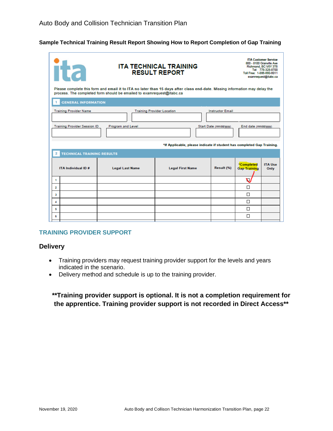#### **Sample Technical Training Result Report Showing How to Report Completion of Gap Training**

|                                                                                                              | <b>ITA TECHNICAL TRAINING</b><br><b>Tta</b><br><b>RESULT REPORT</b>                           |                                                                                                                                                                                                      |                         |            | <b>ITA Customer Service</b><br>800 - 8100 Granville Ave<br>Richmond, BC V6Y 3T6<br>Tel: 778-328-8700<br>Toll Free: 1-866-660-6011<br>examrequest@itabc.ca |                        |
|--------------------------------------------------------------------------------------------------------------|-----------------------------------------------------------------------------------------------|------------------------------------------------------------------------------------------------------------------------------------------------------------------------------------------------------|-------------------------|------------|-----------------------------------------------------------------------------------------------------------------------------------------------------------|------------------------|
|                                                                                                              |                                                                                               | Please complete this form and email it to ITA no later than 15 days after class end-date. Missing information may delay the<br>process. The completed form should be emailed to examrequest@itabc.ca |                         |            |                                                                                                                                                           |                        |
|                                                                                                              | <b>GENERAL INFORMATION</b>                                                                    |                                                                                                                                                                                                      |                         |            |                                                                                                                                                           |                        |
|                                                                                                              | <b>Training Provider Location</b><br><b>Training Provider Name</b><br><b>Instructor Email</b> |                                                                                                                                                                                                      |                         |            |                                                                                                                                                           |                        |
| <b>Training Provider Session ID</b><br>Program and Level<br>Start Date (mm/dd/yyyy)<br>End date (mm/dd/yyyy) |                                                                                               |                                                                                                                                                                                                      |                         |            |                                                                                                                                                           |                        |
| *If Applicable, please indicate if student has completed Gap Training.                                       |                                                                                               |                                                                                                                                                                                                      |                         |            |                                                                                                                                                           |                        |
| 2                                                                                                            | <b>TECHNICAL TRAINING RESULTS</b>                                                             |                                                                                                                                                                                                      |                         |            |                                                                                                                                                           |                        |
|                                                                                                              | ITA Individual ID #                                                                           | <b>Legal Last Name</b>                                                                                                                                                                               | <b>Legal First Name</b> | Result (%) | *Completed<br><b>Gap Training</b>                                                                                                                         | <b>ITA Use</b><br>Only |
| 1                                                                                                            |                                                                                               |                                                                                                                                                                                                      |                         |            | ึง                                                                                                                                                        |                        |
| $\overline{2}$                                                                                               |                                                                                               |                                                                                                                                                                                                      |                         |            | $\Box$                                                                                                                                                    |                        |
| 3                                                                                                            |                                                                                               |                                                                                                                                                                                                      |                         |            | п                                                                                                                                                         |                        |
| 4                                                                                                            |                                                                                               |                                                                                                                                                                                                      |                         |            | П                                                                                                                                                         |                        |
| 5                                                                                                            |                                                                                               |                                                                                                                                                                                                      |                         |            | □                                                                                                                                                         |                        |
| 6                                                                                                            |                                                                                               |                                                                                                                                                                                                      |                         |            | П                                                                                                                                                         |                        |

#### **TRAINING PROVIDER SUPPORT**

#### **Delivery**

- Training providers may request training provider support for the levels and years indicated in the scenario.
- Delivery method and schedule is up to the training provider.

### **\*\*Training provider support is optional. It is not a completion requirement for the apprentice. Training provider support is not recorded in Direct Access\*\***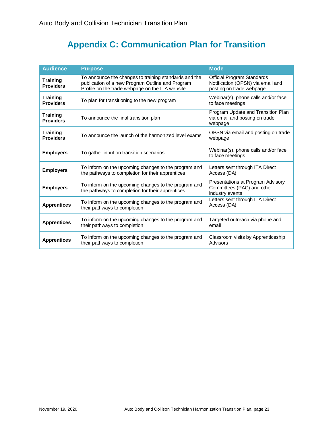# **Appendix C: Communication Plan for Transition**

<span id="page-22-0"></span>

| <b>Audience</b>                     | <b>Purpose</b>                                                                                                                                               | <b>Mode</b>                                                                                        |
|-------------------------------------|--------------------------------------------------------------------------------------------------------------------------------------------------------------|----------------------------------------------------------------------------------------------------|
| <b>Training</b><br><b>Providers</b> | To announce the changes to training standards and the<br>publication of a new Program Outline and Program<br>Profile on the trade webpage on the ITA website | <b>Official Program Standards</b><br>Notification (OPSN) via email and<br>posting on trade webpage |
| <b>Training</b><br><b>Providers</b> | To plan for transitioning to the new program                                                                                                                 | Webinar(s), phone calls and/or face<br>to face meetings                                            |
| <b>Training</b><br><b>Providers</b> | To announce the final transition plan                                                                                                                        | Program Update and Transition Plan<br>via email and posting on trade<br>webpage                    |
| <b>Training</b><br><b>Providers</b> | To announce the launch of the harmonized level exams                                                                                                         | OPSN via email and posting on trade<br>webpage                                                     |
| <b>Employers</b>                    | To gather input on transition scenarios                                                                                                                      | Webinar(s), phone calls and/or face<br>to face meetings                                            |
| <b>Employers</b>                    | To inform on the upcoming changes to the program and<br>the pathways to completion for their apprentices                                                     | Letters sent through ITA Direct<br>Access (DA)                                                     |
| <b>Employers</b>                    | To inform on the upcoming changes to the program and<br>the pathways to completion for their apprentices                                                     | Presentations at Program Advisory<br>Committees (PAC) and other<br>industry events                 |
| <b>Apprentices</b>                  | To inform on the upcoming changes to the program and<br>their pathways to completion                                                                         | Letters sent through ITA Direct<br>Access (DA)                                                     |
| <b>Apprentices</b>                  | To inform on the upcoming changes to the program and<br>their pathways to completion                                                                         | Targeted outreach via phone and<br>email                                                           |
| <b>Apprentices</b>                  | To inform on the upcoming changes to the program and<br>their pathways to completion                                                                         | Classroom visits by Apprenticeship<br>Advisors                                                     |